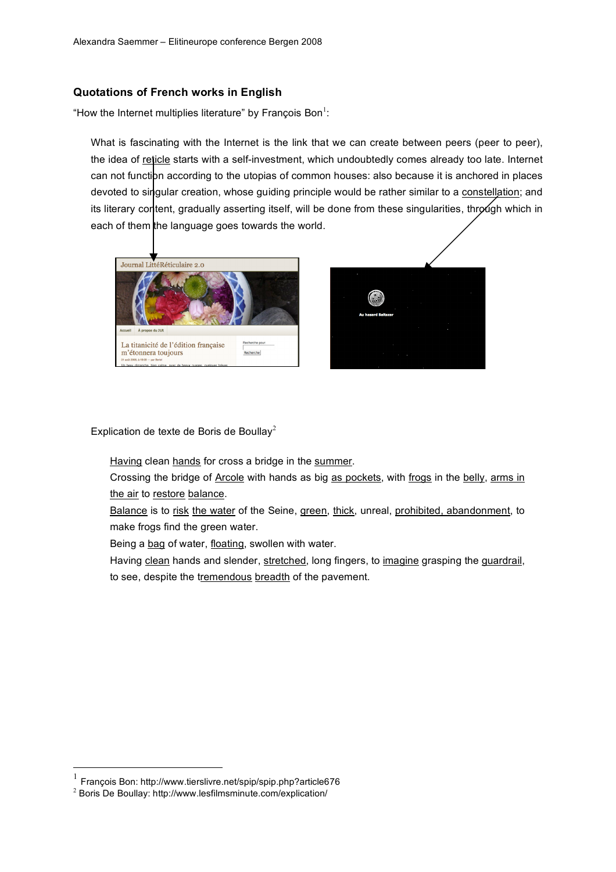## **Quotations of French works in English**

"How the Internet multiplies literature" by François Bon $<sup>1</sup>$ :</sup>

What is fascinating with the Internet is the link that we can create between peers (peer to peer), the idea of reticle starts with a self-investment, which undoubtedly comes already too late. Internet can not function according to the utopias of common houses: also because it is anchored in places devoted to singular creation, whose guiding principle would be rather similar to a constellation; and its literary content, gradually asserting itself, will be done from these singularities, through which in each of them the language goes towards the world.





Explication de texte de Boris de Boullay<sup>2</sup>

Having clean hands for cross a bridge in the summer.

Crossing the bridge of Arcole with hands as big as pockets, with frogs in the belly, arms in the air to restore balance.

Balance is to risk the water of the Seine, green, thick, unreal, prohibited, abandonment, to make frogs find the green water.

Being a bag of water, floating, swollen with water.

Having clean hands and slender, stretched, long fingers, to imagine grasping the guardrail, to see, despite the tremendous breadth of the pavement.

 <sup>1</sup> François Bon: http://www.tierslivre.net/spip/spip.php?article676

<sup>2</sup> Boris De Boullay: http://www.lesfilmsminute.com/explication/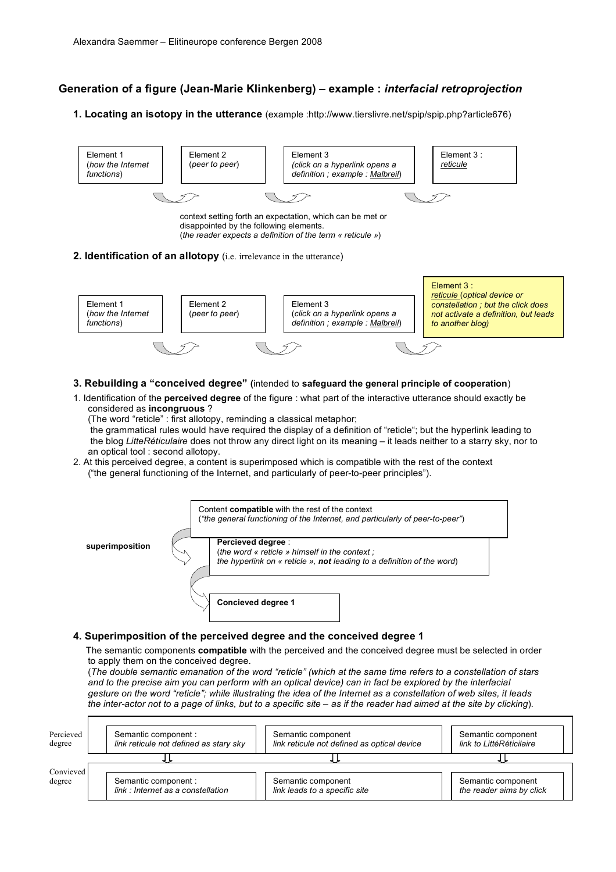## **Generation of a figure (Jean-Marie Klinkenberg) – example :** *interfacial retroprojection*

**1. Locating an isotopy in the utterance** (example :http://www.tierslivre.net/spip/spip.php?article676)



- **3. Rebuilding a "conceived degree" (**intended to **safeguard the general principle of cooperation**)
- 1. Identification of the **perceived degree** of the figure : what part of the interactive utterance should exactly be considered as **incongruous** ?

(The word "reticle" : first allotopy, reminding a classical metaphor;

the grammatical rules would have required the display of a definition of "reticle"; but the hyperlink leading to the blog *LitteRéticulaire* does not throw any direct light on its meaning – it leads neither to a starry sky, nor to an optical tool : second allotopy.

2. At this perceived degree, a content is superimposed which is compatible with the rest of the context ("the general functioning of the Internet, and particularly of peer-to-peer principles").



## **4. Superimposition of the perceived degree and the conceived degree 1**

The semantic components **compatible** with the perceived and the conceived degree must be selected in order to apply them on the conceived degree.

(The double semantic emanation of the word "reticle" (which at the same time refers to a constellation of stars and to the precise aim you can perform with an optical device) can in fact be explored by the interfacial gesture on the word "reticle"; while illustrating the idea of the Internet as a constellation of web sites, it leads the inter-actor not to a page of links, but to a specific site - as if the reader had aimed at the site by clicking).